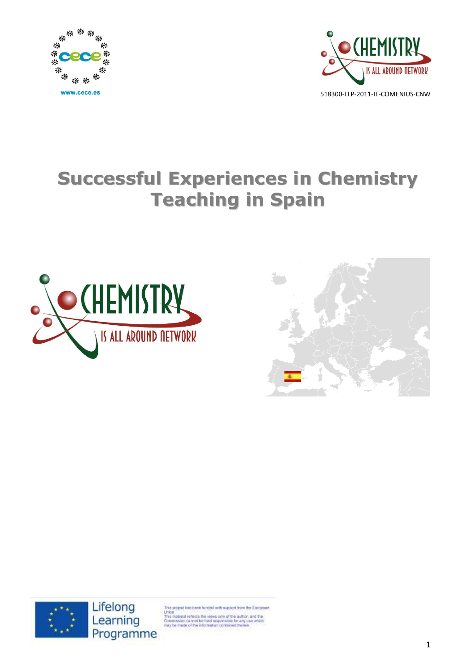



# **Successful Experiences in Chemistry Teaching in Spain**







project has been funded with support from the European

Union<br>This material reflects the views only of the author, and the<br>Commission cannot be held responsible for any use which<br>may be made of the information contained therein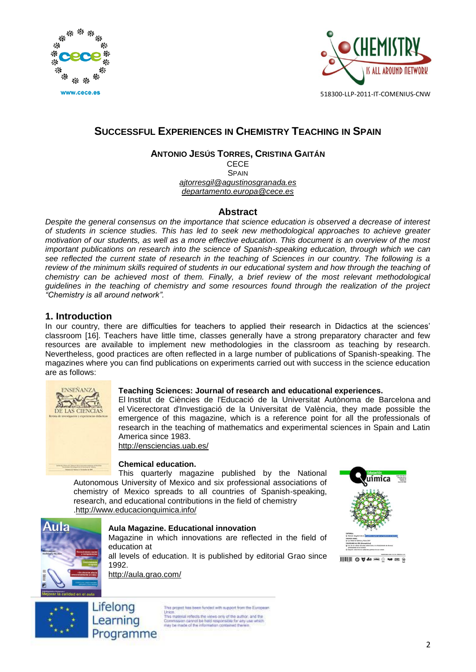



# **SUCCESSFUL EXPERIENCES IN CHEMISTRY TEACHING IN SPAIN**

#### **ANTONIO JESÚS TORRES, CRISTINA GAITÁN** CECE

**SPAIN** *[ajtorresgil@agustinosgranada.es](mailto:ajtorresgil@agustinosgranada.es) [departamento.europa@cece.es](mailto:departamento.europa@cece.es)*

### **Abstract**

*Despite the general consensus on the importance that science education is observed a decrease of interest of students in science studies. This has led to seek new methodological approaches to achieve greater motivation of our students, as well as a more effective education. This document is an overview of the most important publications on research into the science of Spanish-speaking education, through which we can see reflected the current state of research in the teaching of Sciences in our country. The following is a*  review of the minimum skills required of students in our educational system and how through the teaching of *chemistry can be achieved most of them. Finally, a brief review of the most relevant methodological guidelines in the teaching of chemistry and some resources found through the realization of the project "Chemistry is all around network".*

## **1. Introduction**

In our country, there are difficulties for teachers to applied their research in Didactics at the sciences' classroom [16]. Teachers have little time, classes generally have a strong preparatory character and few resources are available to implement new methodologies in the classroom as teaching by research. Nevertheless, good practices are often reflected in a large number of publications of Spanish-speaking. The magazines where you can find publications on experiments carried out with success in the science education are as follows:



#### **Teaching Sciences: Journal of research and educational experiences.**

El Institut de Ciències de l'Educació de la Universitat Autònoma de Barcelona and el Vicerectorat d'Investigació de la Universitat de València, they made possible the emergence of this magazine, which is a reference point for all the professionals of research in the teaching of mathematics and experimental sciences in Spain and Latin America since 1983. <http://ensciencias.uab.es/>

**Chemical education.**

This quarterly magazine published by the National Autonomous University of Mexico and six professional associations of chemistry of Mexico spreads to all countries of Spanish-speaking, research, and educational contributions in the field of chemistry [.http://www.educacionquimica.info/](http://www.educacionquimica.info/)





#### **Aula Magazine. Educational innovation**

Magazine in which innovations are reflected in the field of education at

all levels of education. It is published by editorial Grao since 1992.

<http://aula.grao.com/>



is project has been funded with support from the European Union<br>This material reflects the views only of the author, and the<br>Commission cannot be held responsible for any use which<br>may be made of the information contained therein.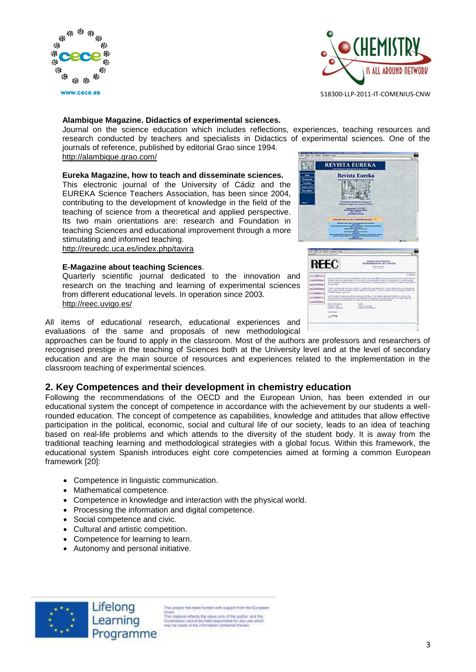



#### **Alambique Magazine. Didactics of experimental sciences.**

Journal on the science education which includes reflections, experiences, teaching resources and research conducted by teachers and specialists in Didactics of experimental sciences. One of the journals of reference, published by editorial Grao since 1994.

<http://alambique.grao.com/>

#### **Eureka Magazine, how to teach and disseminate sciences.**

This electronic journal of the University of Cádiz and the EUREKA Science Teachers Association, has been since 2004, contributing to the development of knowledge in the field of the teaching of science from a theoretical and applied perspective. Its two main orientations are: research and Foundation in teaching Sciences and educational improvement through a more stimulating and informed teaching. <http://reuredc.uca.es/index.php/tavira>

**E-Magazine about teaching Sciences**.

Quarterly scientific journal dedicated to the innovation and research on the teaching and learning of experimental sciences from different educational levels. In operation since 2003. <http://reec.uvigo.es/>

All items of educational research, educational experiences and evaluations of the same and proposals of new methodological

approaches can be found to apply in the classroom. Most of the authors are professors and researchers of recognised prestige in the teaching of Sciences both at the University level and at the level of secondary education and are the main source of resources and experiences related to the implementation in the classroom teaching of experimental sciences.

#### **2. Key Competences and their development in chemistry education**

Following the recommendations of the OECD and the European Union, has been extended in our educational system the concept of competence in accordance with the achievement by our students a wellrounded education. The concept of competence as capabilities, knowledge and attitudes that allow effective participation in the political, economic, social and cultural life of our society, leads to an idea of teaching based on real-life problems and which attends to the diversity of the student body. It is away from the traditional teaching learning and methodological strategies with a global focus. Within this framework, the educational system Spanish introduces eight core competencies aimed at forming a common European framework [20]:

- Competence in linguistic communication.
- Mathematical competence.
- Competence in knowledge and interaction with the physical world.
- Processing the information and digital competence.
- Social competence and civic.
- Cultural and artistic competition.
- Competence for learning to learn.
- Autonomy and personal initiative.



Lifelong Learning Programme

is project has been funded with support from the European Union<br>This material reflects the views only of the author, and the<br>Commission cannot be held responsible for any use which<br>may be made of the information contained therein.



| REEC                                                                                | FT-EST TRANSLIC ROOM                                                                                                                        | <b>EXVISTA BUSINESSES</b><br>Of recompanies on ush ClassClast<br><b>ANGLISTA PARK</b><br>At all strates                                                                                                                                                                                                                                                                                                                                                                                                                                                                                                                                                                                                                                                                                                                             |
|-------------------------------------------------------------------------------------|---------------------------------------------------------------------------------------------------------------------------------------------|-------------------------------------------------------------------------------------------------------------------------------------------------------------------------------------------------------------------------------------------------------------------------------------------------------------------------------------------------------------------------------------------------------------------------------------------------------------------------------------------------------------------------------------------------------------------------------------------------------------------------------------------------------------------------------------------------------------------------------------------------------------------------------------------------------------------------------------|
| 481<br>----<br>---------<br>Confederation.<br><b>STATISTICS</b><br><b>Antiquiar</b> | shi na kalikati.<br>FOR REAL CALCULATION COM-<br><b>Including Marshall</b><br><b>Himsell Vickel</b><br>without created?<br><b>LA MINIME</b> | れままれ<br>to here a listing as a drawing at the face of OHE is an organization of converse<br>a biasa da ta-se autósta a la inte-scor-a m-eclusione sono transfonda y el aprodute<br>the the calculate actual transitions are for official times and contents in them in a territorial security as<br>Toda at printers the weights, whether a sublimative as walker on comparison the transport in<br>in fait, plantification de seda manaria apricar la adhibit, è sua un alra forabbito politike actività-<br>All Print case entrance de anteriorismo participant d'or frances advances developé d'annoya ma<br>more income to the editors when beneficially an its enoughborn as her cancers is to control this to<br>profession a missingerous architectural de les carectés activitations.<br>draw percenta<br>Disano interested |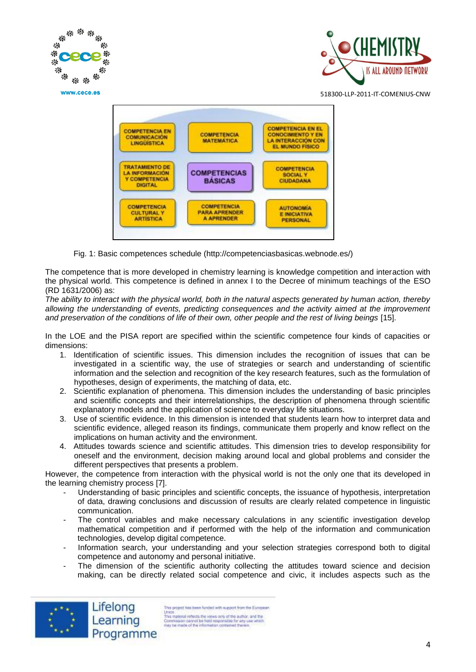

Fig. 1: Basic competences schedule (http://competenciasbasicas.webnode.es/)

The competence that is more developed in chemistry learning is knowledge competition and interaction with the physical world. This competence is defined in annex I to the Decree of minimum teachings of the ESO (RD 1631/2006) as:

*The ability to interact with the physical world, both in the natural aspects generated by human action, thereby allowing the understanding of events, predicting consequences and the activity aimed at the improvement and preservation of the conditions of life of their own, other people and the rest of living beings* [15].

In the LOE and the PISA report are specified within the scientific competence four kinds of capacities or dimensions:

- 1. Identification of scientific issues. This dimension includes the recognition of issues that can be investigated in a scientific way, the use of strategies or search and understanding of scientific information and the selection and recognition of the key research features, such as the formulation of hypotheses, design of experiments, the matching of data, etc.
- 2. Scientific explanation of phenomena. This dimension includes the understanding of basic principles and scientific concepts and their interrelationships, the description of phenomena through scientific explanatory models and the application of science to everyday life situations.
- 3. Use of scientific evidence. In this dimension is intended that students learn how to interpret data and scientific evidence, alleged reason its findings, communicate them properly and know reflect on the implications on human activity and the environment.
- 4. Attitudes towards science and scientific attitudes. This dimension tries to develop responsibility for oneself and the environment, decision making around local and global problems and consider the different perspectives that presents a problem.

However, the competence from interaction with the physical world is not the only one that its developed in the learning chemistry process [7].

- Understanding of basic principles and scientific concepts, the issuance of hypothesis, interpretation of data, drawing conclusions and discussion of results are clearly related competence in linguistic communication.
- The control variables and make necessary calculations in any scientific investigation develop mathematical competition and if performed with the help of the information and communication technologies, develop digital competence.
- Information search, your understanding and your selection strategies correspond both to digital competence and autonomy and personal initiative.
- The dimension of the scientific authority collecting the attitudes toward science and decision making, can be directly related social competence and civic, it includes aspects such as the



This project has been funded with support from the European Union<br>
This material reflects the views only of the author, and the<br>
This material reflects the views only of the author, and the<br>
florid responsible for any use which<br>
reay be made of the information contained therein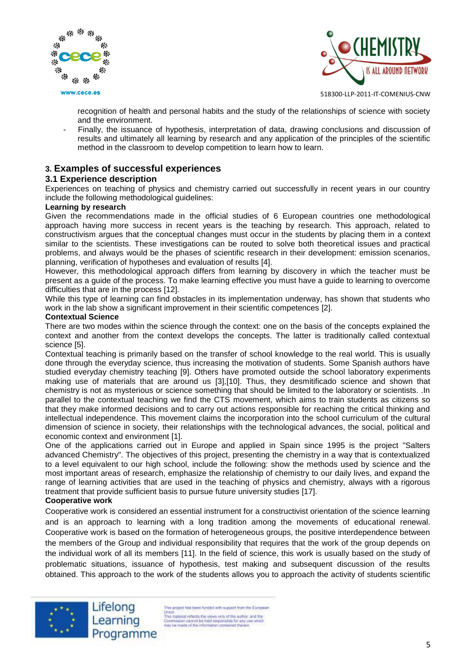





recognition of health and personal habits and the study of the relationships of science with society and the environment.

Finally, the issuance of hypothesis, interpretation of data, drawing conclusions and discussion of results and ultimately all learning by research and any application of the principles of the scientific method in the classroom to develop competition to learn how to learn.

## **3. Examples of successful experiences**

#### **3.1 Experience description**

Experiences on teaching of physics and chemistry carried out successfully in recent years in our country include the following methodological guidelines:

#### **Learning by research**

Given the recommendations made in the official studies of 6 European countries one methodological approach having more success in recent years is the teaching by research. This approach, related to constructivism argues that the conceptual changes must occur in the students by placing them in a context similar to the scientists. These investigations can be routed to solve both theoretical issues and practical problems, and always would be the phases of scientific research in their development: emission scenarios, planning, verification of hypotheses and evaluation of results [4].

However, this methodological approach differs from learning by discovery in which the teacher must be present as a guide of the process. To make learning effective you must have a guide to learning to overcome difficulties that are in the process [12].

While this type of learning can find obstacles in its implementation underway, has shown that students who work in the lab show a significant improvement in their scientific competences [2].

#### **Contextual Science**

There are two modes within the science through the context: one on the basis of the concepts explained the context and another from the context develops the concepts. The latter is traditionally called contextual science [5].

Contextual teaching is primarily based on the transfer of school knowledge to the real world. This is usually done through the everyday science, thus increasing the motivation of students. Some Spanish authors have studied everyday chemistry teaching [9]. Others have promoted outside the school laboratory experiments making use of materials that are around us [3],[10]. Thus, they desmitificado science and shown that chemistry is not as mysterious or science something that should be limited to the laboratory or scientists. .In parallel to the contextual teaching we find the CTS movement, which aims to train students as citizens so that they make informed decisions and to carry out actions responsible for reaching the critical thinking and intellectual independence. This movement claims the incorporation into the school curriculum of the cultural dimension of science in society, their relationships with the technological advances, the social, political and economic context and environment [1].

One of the applications carried out in Europe and applied in Spain since 1995 is the project "Salters advanced Chemistry". The objectives of this project, presenting the chemistry in a way that is contextualized to a level equivalent to our high school, include the following: show the methods used by science and the most important areas of research, emphasize the relationship of chemistry to our daily lives, and expand the range of learning activities that are used in the teaching of physics and chemistry, always with a rigorous treatment that provide sufficient basis to pursue future university studies [17].

#### **Cooperative work**

Cooperative work is considered an essential instrument for a constructivist orientation of the science learning and is an approach to learning with a long tradition among the movements of educational renewal. Cooperative work is based on the formation of heterogeneous groups, the positive interdependence between the members of the Group and individual responsibility that requires that the work of the group depends on the individual work of all its members [11]. In the field of science, this work is usually based on the study of problematic situations, issuance of hypothesis, test making and subsequent discussion of the results obtained. This approach to the work of the students allows you to approach the activity of students scientific



Lifelong Learning Programme

his project has been funded with support from the European Union<br>This material reflects the views only of the author, and the<br>Commission cannot be held responsible for any use which<br>may be made of the information contained therein.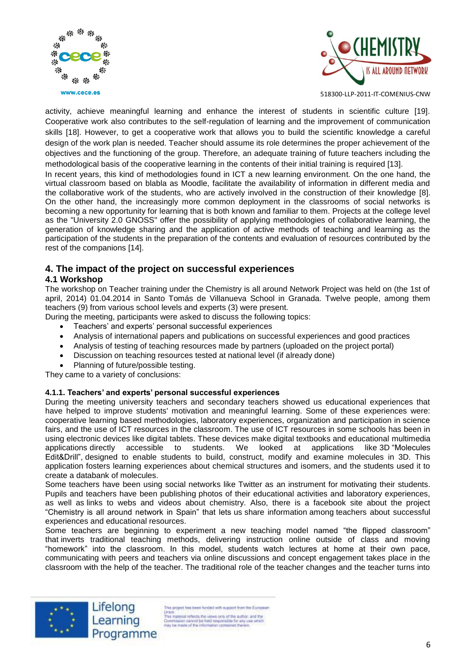



activity, achieve meaningful learning and enhance the interest of students in scientific culture [19]. Cooperative work also contributes to the self-regulation of learning and the improvement of communication skills [18]. However, to get a cooperative work that allows you to build the scientific knowledge a careful design of the work plan is needed. Teacher should assume its role determines the proper achievement of the objectives and the functioning of the group. Therefore, an adequate training of future teachers including the methodological basis of the cooperative learning in the contents of their initial training is required [13].

In recent years, this kind of methodologies found in ICT a new learning environment. On the one hand, the virtual classroom based on blabla as Moodle, facilitate the availability of information in different media and the collaborative work of the students, who are actively involved in the construction of their knowledge [8]. On the other hand, the increasingly more common deployment in the classrooms of social networks is becoming a new opportunity for learning that is both known and familiar to them. Projects at the college level as the "University 2.0 GNOSS" offer the possibility of applying methodologies of collaborative learning, the generation of knowledge sharing and the application of active methods of teaching and learning as the participation of the students in the preparation of the contents and evaluation of resources contributed by the rest of the companions [14].

# **4. The impact of the project on successful experiences**

#### **4.1 Workshop**

The workshop on Teacher training under the Chemistry is all around Network Project was held on (the 1st of april, 2014) 01.04.2014 in Santo Tomás de Villanueva School in Granada. Twelve people, among them teachers (9) from various school levels and experts (3) were present.

During the meeting, participants were asked to discuss the following topics:

- Teachers' and experts' personal successful experiences
- Analysis of international papers and publications on successful experiences and good practices
- Analysis of testing of teaching resources made by partners (uploaded on the project portal)
- Discussion on teaching resources tested at national level (if already done)
- Planning of future/possible testing.

They came to a variety of conclusions:

#### **4.1.1. Teachers' and experts' personal successful experiences**

During the meeting university teachers and secondary teachers showed us educational experiences that have helped to improve students' motivation and meaningful learning. Some of these experiences were: cooperative learning based methodologies, laboratory experiences, organization and participation in science fairs, and the use of ICT resources in the classroom. The use of ICT resources in some schools has been in using electronic devices like digital tablets. These devices make digital textbooks and educational multimedia applications directly accessible to students. We looked at applications like 3D "Molecules Edit&Drill", designed to enable students to build, construct, modify and examine molecules in 3D. This application fosters learning experiences about chemical structures and isomers, and the students used it to create a databank of molecules.

Some teachers have been using social networks like Twitter as an instrument for motivating their students. Pupils and teachers have been publishing photos of their educational activities and laboratory experiences, as well as links to webs and videos about chemistry. Also, there is a facebook site about the project "Chemistry is all around network in Spain" that lets us share information among teachers about successful experiences and educational resources.

Some teachers are beginning to experiment a new teaching model named "the flipped classroom" that inverts traditional teaching methods, delivering instruction online outside of class and moving "homework" into the classroom. In this model, students watch lectures at home at their own pace, communicating with peers and teachers via online discussions and concept engagement takes place in the classroom with the help of the teacher. The traditional role of the teacher changes and the teacher turns into



Lifelong Learning Programme

his project has been funded with support from the European Union<br>This material reflects the views only of the author, and the<br>Commission cannot be held responsible for any use which<br>may be made of the information contained therein.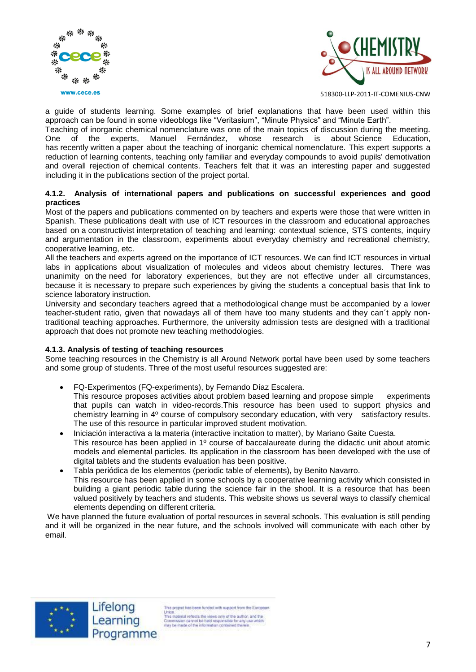



a guide of students learning. Some examples of brief explanations that have been used within this approach can be found in some videoblogs like "Veritasium", "Minute Physics" and "Minute Earth".

Teaching of inorganic chemical nomenclature was one of the main topics of discussion during the meeting. One of the experts, Manuel Fernández, whose research is about Science Education, has recently written a paper about the teaching of inorganic chemical nomenclature. This expert supports a reduction of learning contents, teaching only familiar and everyday compounds to avoid pupils' demotivation and overall rejection of chemical contents. Teachers felt that it was an interesting paper and suggested including it in the publications section of the project portal.

#### **4.1.2. Analysis of international papers and publications on successful experiences and good practices**

Most of the papers and publications commented on by teachers and experts were those that were written in Spanish. These publications dealt with use of ICT resources in the classroom and educational approaches based on a constructivist interpretation of teaching and learning: contextual science, STS contents, inquiry and argumentation in the classroom, experiments about everyday chemistry and recreational chemistry, cooperative learning, etc.

All the teachers and experts agreed on the importance of ICT resources. We can find ICT resources in virtual labs in applications about visualization of molecules and videos about chemistry lectures. There was unanimity on the need for laboratory experiences, but they are not effective under all circumstances, because it is necessary to prepare such experiences by giving the students a conceptual basis that link to science laboratory instruction.

University and secondary teachers agreed that a methodological change must be accompanied by a lower teacher-student ratio, given that nowadays all of them have too many students and they can´t apply nontraditional teaching approaches. Furthermore, the university admission tests are designed with a traditional approach that does not promote new teaching methodologies.

#### **4.1.3. Analysis of testing of teaching resources**

Some teaching resources in the Chemistry is all Around Network portal have been used by some teachers and some group of students. Three of the most useful resources suggested are:

- FQ-Experimentos (FQ-experiments), by Fernando Díaz Escalera.
- This resource proposes activities about problem based learning and propose simple experiments that pupils can watch in video-records.This resource has been used to support physics and chemistry learning in 4º course of compulsory secondary education, with very satisfactory results. The use of this resource in particular improved student motivation.
- Iniciación interactiva a la materia (interactive incitation to matter), by Mariano Gaite Cuesta. This resource has been applied in 1º course of baccalaureate during the didactic unit about atomic models and elemental particles. Its application in the classroom has been developed with the use of digital tablets and the students evaluation has been positive.
- Tabla periódica de los elementos (periodic table of elements), by Benito Navarro. This resource has been applied in some schools by a cooperative learning activity which consisted in building a giant periodic table during the science fair in the shool. It is a resource that has been valued positively by teachers and students. This website shows us several ways to classify chemical elements depending on different criteria.

We have planned the future evaluation of portal resources in several schools. This evaluation is still pending and it will be organized in the near future, and the schools involved will communicate with each other by email.



Lifelong Learning Programme

his project has been funded with support from the European Union<br>This material reflects the views only of the author, and the<br>Commission cannot be held responsible for any use which<br>may be made of the information contained therein.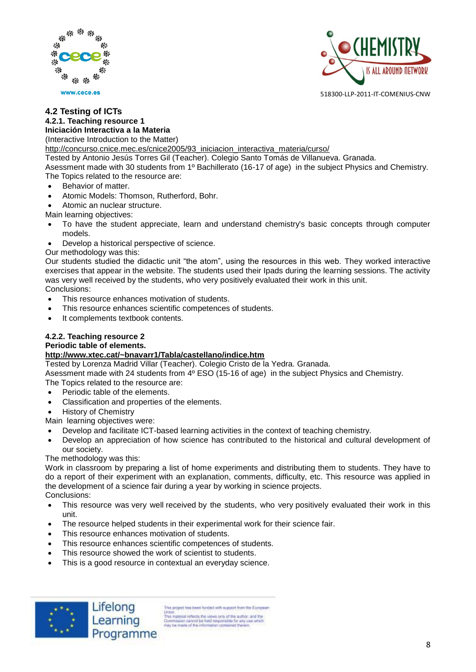



#### **4.2 Testing of ICTs 4.2.1. Teaching resource 1 Iniciación Interactiva a la Materia**

(Interactive Introduction to the Matter)

[http://concurso.cnice.mec.es/cnice2005/93\\_iniciacion\\_interactiva\\_materia/curso/](http://concurso.cnice.mec.es/cnice2005/93_iniciacion_interactiva_materia/curso/)

Tested by Antonio Jesús Torres Gil (Teacher). Colegio Santo Tomás de Villanueva. Granada.

Asessment made with 30 students from 1º Bachillerato (16-17 of age) in the subject Physics and Chemistry. The Topics related to the resource are:

- Behavior of matter.
- Atomic Models: Thomson, Rutherford, Bohr.

Atomic an nuclear structure.

Main learning objectives:

- To have the student appreciate, learn and understand chemistry's basic concepts through computer models.
- Develop a historical perspective of science.

Our methodology was this:

Our students studied the didactic unit "the atom", using the resources in this web. They worked interactive exercises that appear in the website. The students used their Ipads during the learning sessions. The activity was very well received by the students, who very positively evaluated their work in this unit.

Conclusions:

- This resource enhances motivation of students.
- This resource enhances scientific competences of students.
- It complements textbook contents.

# **4.2.2. Teaching resource 2**

## **Periodic table of elements.**

#### **<http://www.xtec.cat/~bnavarr1/Tabla/castellano/indice.htm>**

Tested by Lorenza Madrid Villar (Teacher). Colegio Cristo de la Yedra. Granada.

Asessment made with 24 students from 4º ESO (15-16 of age) in the subject Physics and Chemistry.

The Topics related to the resource are:

- Periodic table of the elements.
- Classification and properties of the elements.
- History of Chemistry

Main learning objectives were:

- Develop and facilitate ICT-based learning activities in the context of teaching chemistry.
- Develop an appreciation of how science has contributed to the historical and cultural development of our society.

The methodology was this:

Work in classroom by preparing a list of home experiments and distributing them to students. They have to do a report of their experiment with an explanation, comments, difficulty, etc. This resource was applied in the development of a science fair during a year by working in science projects. Conclusions:

- This resource was very well received by the students, who very positively evaluated their work in this unit.
- The resource helped students in their experimental work for their science fair.
- This resource enhances motivation of students.
- This resource enhances scientific competences of students.
- This resource showed the work of scientist to students.
- This is a good resource in contextual an everyday science.



Lifelong Learning Programme

This project has been funded with support from the European Union.<br>This material reflects the views only of the author, and the<br>Commission cannot be hild responsible for any use which<br>may be made of the information contained therein<br>may be made of the information contained therein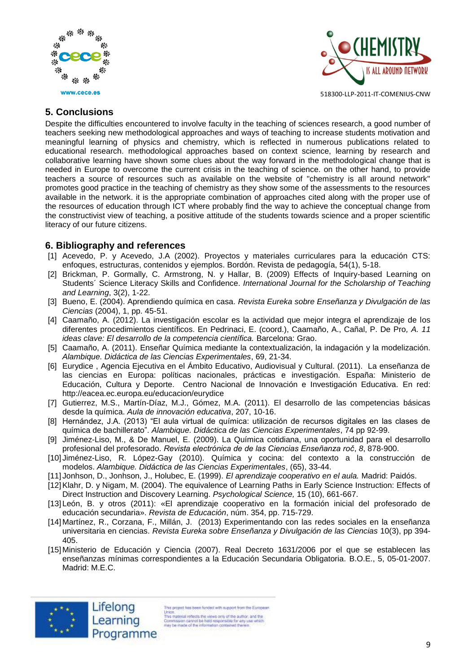



# **5. Conclusions**

Despite the difficulties encountered to involve faculty in the teaching of sciences research, a good number of teachers seeking new methodological approaches and ways of teaching to increase students motivation and meaningful learning of physics and chemistry, which is reflected in numerous publications related to educational research. methodological approaches based on context science, learning by research and collaborative learning have shown some clues about the way forward in the methodological change that is needed in Europe to overcome the current crisis in the teaching of science. on the other hand, to provide teachers a source of resources such as available on the website of "chemistry is all around network" promotes good practice in the teaching of chemistry as they show some of the assessments to the resources available in the network. it is the appropriate combination of approaches cited along with the proper use of the resources of education through ICT where probably find the way to achieve the conceptual change from the constructivist view of teaching, a positive attitude of the students towards science and a proper scientific literacy of our future citizens.

# **6. Bibliography and references**

- [1] Acevedo, P. y Acevedo, J.A (2002). Proyectos y materiales curriculares para la educación CTS: enfoques, estructuras, contenidos y ejemplos. Bordón. Revista de pedagogía, 54(1), 5-18.
- [2] Brickman, P. Gormally, C. Armstrong, N. y Hallar, B. (2009) Effects of Inquiry-based Learning on Students´ Science Literacy Skills and Confidence. *International Journal for the Scholarship of Teaching and Learning*, 3(2), 1-22.
- [3] Bueno, E. (2004). Aprendiendo química en casa. *Revista Eureka sobre Enseñanza y Divulgación de las Ciencias* (2004), 1, pp. 45-51.
- [4] Caamaño, A. (2012). La investigación escolar es la actividad que mejor integra el aprendizaje de los diferentes procedimientos científicos. En Pedrinaci, E. (coord.), Caamaño, A., Cañal, P. De Pro*, A. 11 ideas clave: El desarrollo de la competencia científica.* Barcelona: Grao.
- [5] Caamaño, A. (2011). Enseñar Química mediante la contextualización, la indagación y la modelización. *Alambique. Didáctica de las Ciencias Experimentales*, 69, 21-34.
- [6] Eurydice , Agencia Ejecutiva en el Ámbito Educativo, Audiovisual y Cultural. (2011). La enseñanza de las ciencias en Europa: políticas nacionales, prácticas e investigación. España: Ministerio de Educación, Cultura y Deporte. Centro Nacional de Innovación e Investigación Educativa. En red: <http://eacea.ec.europa.eu/educacion/eurydice>
- [7] Gutierrez, M.S., Martín-Díaz, M.J., Gómez, M.A. (2011). El desarrollo de las competencias básicas desde la química. *Aula de innovación educativa*, 207, 10-16.
- [8] Hernández, J.A. (2013) "El aula virtual de química: utilización de recursos digitales en las clases de química de bachillerato". *Alambique. Didáctica de las Ciencias Experimentales*, 74 pp 92-99.
- [9] Jiménez-Liso, M., & De Manuel, E. (2009). La Química cotidiana, una oportunidad para el desarrollo profesional del profesorado. *Revista electrónica de de las Ciencias Enseñanza roč*, *8*, 878-900.
- [10] Jiménez-Liso, R. López-Gay (2010). Química y cocina: del contexto a la construcción de modelos. *Alambique. Didáctica de las Ciencias Experimentales*, (65), 33-44.
- [11] Jonhson, D., Jonhson, J., Holubec, E. (1999). *El aprendizaje cooperativo en el aula.* Madrid: Paidós.
- [12]Klahr, D. y Nigam, M. (2004). The equivalence of Learning Paths in Early Science Instruction: Effects of Direct Instruction and Discovery Learning. *Psychological Science,* 15 (10), 661-667.
- [13] León, B. y otros (2011): «El aprendizaje cooperativo en la formación inicial del profesorado de educación secundaria». *Revista de Educación*, núm. 354, pp. 715-729.
- [14] Martínez, R., Corzana, F., Millán, J. (2013) Experimentando con las redes sociales en la enseñanza universitaria en ciencias. *Revista Eureka sobre Enseñanza y Divulgación de las Ciencias* 10(3), pp 394- 405.
- [15] Ministerio de Educación y Ciencia (2007). Real Decreto 1631/2006 por el que se establecen las enseñanzas mínimas correspondientes a la Educación Secundaria Obligatoria. B.O.E., 5, 05-01-2007. Madrid: M.E.C.



Lifelong

Programme

This project has been funded with support from the European Union<br>This material reflects the views only of the author, and the<br>Commission cannot be hild responsible for any use which<br>may be made of the information contained therein